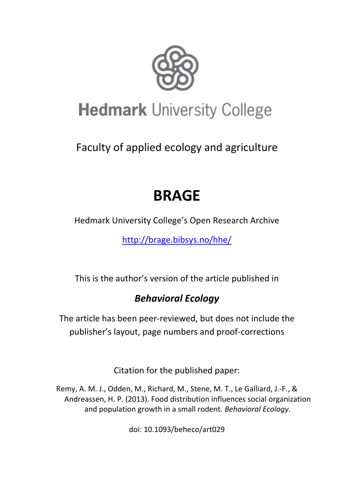

# **Hedmark University College**

Faculty of applied ecology and agriculture

## **BRAGE**

Hedmark University College's Open Research Archive

<http://brage.bibsys.no/hhe/>

This is the author's version of the article published in

## *Behavioral Ecology*

The article has been peer-reviewed, but does not include the publisher's layout, page numbers and proof-corrections

Citation for the published paper:

Remy, A. M. J., Odden, M., Richard, M., Stene, M. T., Le Galliard, J.-F., & Andreassen, H. P. (2013). Food distribution influences social organization and population growth in a small rodent. *Behavioral Ecology*.

doi: 10.1093/beheco/art029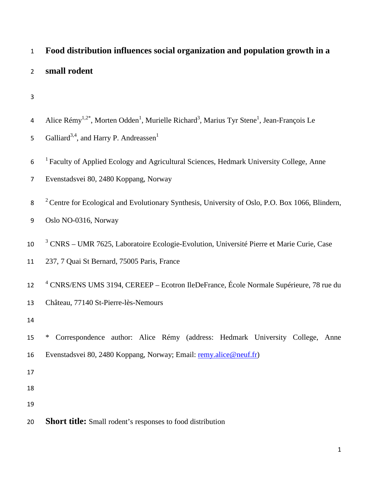| $\mathbf{1}$   | Food distribution influences social organization and population growth in a                                                               |
|----------------|-------------------------------------------------------------------------------------------------------------------------------------------|
| $\overline{2}$ | small rodent                                                                                                                              |
| 3              |                                                                                                                                           |
| 4              | Alice Rémy <sup>1,2*</sup> , Morten Odden <sup>1</sup> , Murielle Richard <sup>3</sup> , Marius Tyr Stene <sup>1</sup> , Jean-François Le |
| 5              | Galliard <sup>3,4</sup> , and Harry P. Andreassen <sup>1</sup>                                                                            |
| 6              | <sup>1</sup> Faculty of Applied Ecology and Agricultural Sciences, Hedmark University College, Anne                                       |
| $\overline{7}$ | Evenstadsvei 80, 2480 Koppang, Norway                                                                                                     |
| 8              | $2^{\circ}$ Centre for Ecological and Evolutionary Synthesis, University of Oslo, P.O. Box 1066, Blindern,                                |
| 9              | Oslo NO-0316, Norway                                                                                                                      |
| 10             | <sup>3</sup> CNRS - UMR 7625, Laboratoire Ecologie-Evolution, Université Pierre et Marie Curie, Case                                      |
| 11             | 237, 7 Quai St Bernard, 75005 Paris, France                                                                                               |
| 12             | <sup>4</sup> CNRS/ENS UMS 3194, CEREEP – Ecotron IleDeFrance, École Normale Supérieure, 78 rue du                                         |
| 13             | Château, 77140 St-Pierre-lès-Nemours                                                                                                      |
| 14             |                                                                                                                                           |
| 15             | Correspondence author: Alice Rémy (address: Hedmark University College, Anne<br>∗                                                         |
| 16             | Evenstadsvei 80, 2480 Koppang, Norway; Email: remy.alice@neuf.fr)                                                                         |
| $17\,$         |                                                                                                                                           |
| 18             |                                                                                                                                           |
| 19             |                                                                                                                                           |
| 20             | <b>Short title:</b> Small rodent's responses to food distribution                                                                         |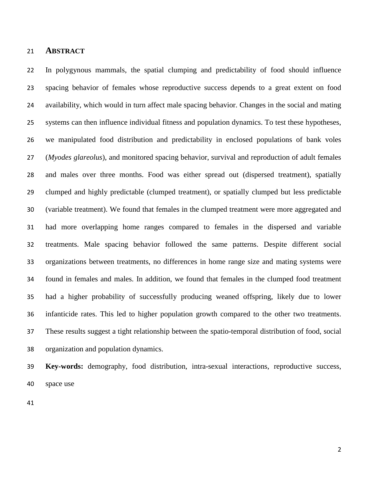#### **ABSTRACT**

 In polygynous mammals, the spatial clumping and predictability of food should influence spacing behavior of females whose reproductive success depends to a great extent on food availability, which would in turn affect male spacing behavior. Changes in the social and mating systems can then influence individual fitness and population dynamics. To test these hypotheses, we manipulated food distribution and predictability in enclosed populations of bank voles (*Myodes glareolus*), and monitored spacing behavior, survival and reproduction of adult females and males over three months. Food was either spread out (dispersed treatment), spatially clumped and highly predictable (clumped treatment), or spatially clumped but less predictable (variable treatment). We found that females in the clumped treatment were more aggregated and had more overlapping home ranges compared to females in the dispersed and variable treatments. Male spacing behavior followed the same patterns. Despite different social organizations between treatments, no differences in home range size and mating systems were found in females and males. In addition, we found that females in the clumped food treatment had a higher probability of successfully producing weaned offspring, likely due to lower infanticide rates. This led to higher population growth compared to the other two treatments. These results suggest a tight relationship between the spatio-temporal distribution of food, social organization and population dynamics.

 **Key-words:** demography, food distribution, intra-sexual interactions, reproductive success, space use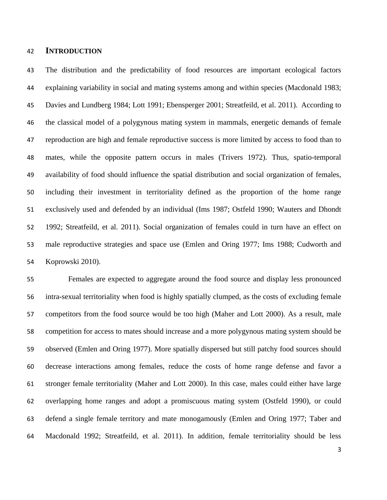#### **INTRODUCTION**

 The distribution and the predictability of food resources are important ecological factors explaining variability in social and mating systems among and within species (Macdonald 1983; Davies and Lundberg 1984; Lott 1991; Ebensperger 2001; Streatfeild, et al. 2011). According to the classical model of a polygynous mating system in mammals, energetic demands of female reproduction are high and female reproductive success is more limited by access to food than to mates, while the opposite pattern occurs in males (Trivers 1972). Thus, spatio-temporal availability of food should influence the spatial distribution and social organization of females, including their investment in territoriality defined as the proportion of the home range exclusively used and defended by an individual (Ims 1987; Ostfeld 1990; Wauters and Dhondt 1992; Streatfeild, et al. 2011). Social organization of females could in turn have an effect on male reproductive strategies and space use (Emlen and Oring 1977; Ims 1988; Cudworth and Koprowski 2010).

 Females are expected to aggregate around the food source and display less pronounced intra-sexual territoriality when food is highly spatially clumped, as the costs of excluding female competitors from the food source would be too high (Maher and Lott 2000). As a result, male competition for access to mates should increase and a more polygynous mating system should be observed (Emlen and Oring 1977). More spatially dispersed but still patchy food sources should decrease interactions among females, reduce the costs of home range defense and favor a stronger female territoriality (Maher and Lott 2000). In this case, males could either have large overlapping home ranges and adopt a promiscuous mating system (Ostfeld 1990), or could defend a single female territory and mate monogamously (Emlen and Oring 1977; Taber and Macdonald 1992; Streatfeild, et al. 2011). In addition, female territoriality should be less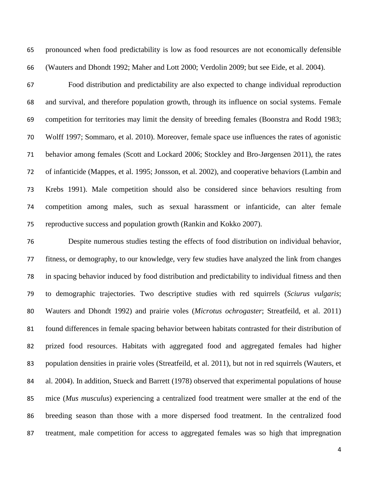pronounced when food predictability is low as food resources are not economically defensible (Wauters and Dhondt 1992; Maher and Lott 2000; Verdolin 2009; but see Eide, et al. 2004).

 Food distribution and predictability are also expected to change individual reproduction and survival, and therefore population growth, through its influence on social systems. Female competition for territories may limit the density of breeding females (Boonstra and Rodd 1983; Wolff 1997; Sommaro, et al. 2010). Moreover, female space use influences the rates of agonistic behavior among females (Scott and Lockard 2006; Stockley and Bro-Jørgensen 2011), the rates of infanticide (Mappes, et al. 1995; Jonsson, et al. 2002), and cooperative behaviors (Lambin and Krebs 1991). Male competition should also be considered since behaviors resulting from competition among males, such as sexual harassment or infanticide, can alter female reproductive success and population growth (Rankin and Kokko 2007).

 Despite numerous studies testing the effects of food distribution on individual behavior, fitness, or demography, to our knowledge, very few studies have analyzed the link from changes in spacing behavior induced by food distribution and predictability to individual fitness and then to demographic trajectories. Two descriptive studies with red squirrels (*Sciurus vulgaris*; Wauters and Dhondt 1992) and prairie voles (*Microtus ochrogaster*; Streatfeild, et al. 2011) found differences in female spacing behavior between habitats contrasted for their distribution of prized food resources. Habitats with aggregated food and aggregated females had higher population densities in prairie voles (Streatfeild, et al. 2011), but not in red squirrels (Wauters, et al. 2004). In addition, Stueck and Barrett (1978) observed that experimental populations of house mice (*Mus musculus*) experiencing a centralized food treatment were smaller at the end of the breeding season than those with a more dispersed food treatment. In the centralized food treatment, male competition for access to aggregated females was so high that impregnation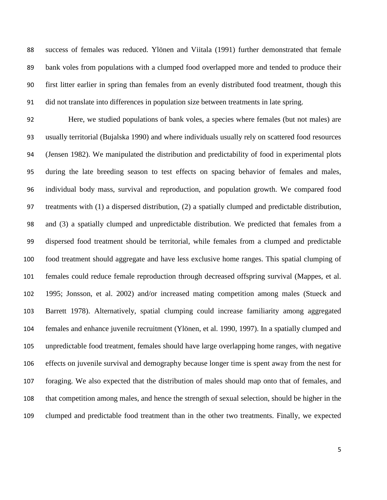success of females was reduced. Ylönen and Viitala (1991) further demonstrated that female bank voles from populations with a clumped food overlapped more and tended to produce their first litter earlier in spring than females from an evenly distributed food treatment, though this did not translate into differences in population size between treatments in late spring.

 Here, we studied populations of bank voles, a species where females (but not males) are usually territorial (Bujalska 1990) and where individuals usually rely on scattered food resources (Jensen 1982). We manipulated the distribution and predictability of food in experimental plots during the late breeding season to test effects on spacing behavior of females and males, individual body mass, survival and reproduction, and population growth. We compared food treatments with (1) a dispersed distribution, (2) a spatially clumped and predictable distribution, and (3) a spatially clumped and unpredictable distribution. We predicted that females from a dispersed food treatment should be territorial, while females from a clumped and predictable food treatment should aggregate and have less exclusive home ranges. This spatial clumping of females could reduce female reproduction through decreased offspring survival (Mappes, et al. 1995; Jonsson, et al. 2002) and/or increased mating competition among males (Stueck and Barrett 1978). Alternatively, spatial clumping could increase familiarity among aggregated females and enhance juvenile recruitment (Ylönen, et al. 1990, 1997). In a spatially clumped and unpredictable food treatment, females should have large overlapping home ranges, with negative effects on juvenile survival and demography because longer time is spent away from the nest for foraging. We also expected that the distribution of males should map onto that of females, and that competition among males, and hence the strength of sexual selection, should be higher in the clumped and predictable food treatment than in the other two treatments. Finally, we expected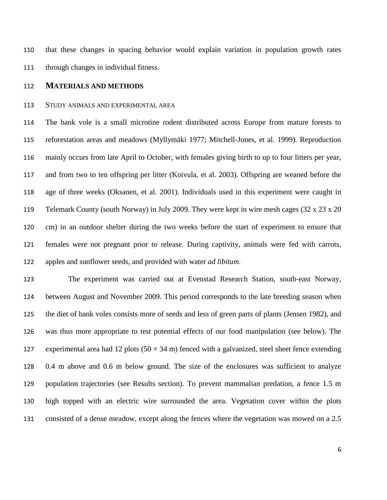that these changes in spacing behavior would explain variation in population growth rates through changes in individual fitness.

#### **MATERIALS AND METHODS**

#### STUDY ANIMALS AND EXPERIMENTAL AREA

 The bank vole is a small microtine rodent distributed across Europe from mature forests to reforestation areas and meadows (Myllymäki 1977; Mitchell-Jones, et al. 1999). Reproduction mainly occurs from late April to October, with females giving birth to up to four litters per year, and from two to ten offspring per litter (Koivula, et al. 2003). Offspring are weaned before the age of three weeks (Oksanen, et al. 2001). Individuals used in this experiment were caught in Telemark County (south Norway) in July 2009. They were kept in wire mesh cages (32 x 23 x 20 cm) in an outdoor shelter during the two weeks before the start of experiment to ensure that females were not pregnant prior to release. During captivity, animals were fed with carrots, apples and sunflower seeds, and provided with water *ad libitum*.

 The experiment was carried out at Evenstad Research Station, south-east Norway, between August and November 2009. This period corresponds to the late breeding season when the diet of bank voles consists more of seeds and less of green parts of plants (Jensen 1982), and was thus more appropriate to test potential effects of our food manipulation (see below). The 127 experimental area had 12 plots  $(50 \times 34 \text{ m})$  fenced with a galvanized, steel sheet fence extending 0.4 m above and 0.6 m below ground. The size of the enclosures was sufficient to analyze population trajectories (see Results section). To prevent mammalian predation, a fence 1.5 m high topped with an electric wire surrounded the area. Vegetation cover within the plots consisted of a dense meadow, except along the fences where the vegetation was mowed on a 2.5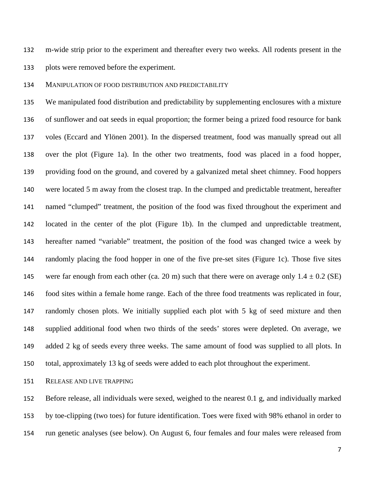m-wide strip prior to the experiment and thereafter every two weeks. All rodents present in the plots were removed before the experiment.

MANIPULATION OF FOOD DISTRIBUTION AND PREDICTABILITY

 We manipulated food distribution and predictability by supplementing enclosures with a mixture of sunflower and oat seeds in equal proportion; the former being a prized food resource for bank voles (Eccard and Ylönen 2001). In the dispersed treatment, food was manually spread out all over the plot (Figure 1a). In the other two treatments, food was placed in a food hopper, providing food on the ground, and covered by a galvanized metal sheet chimney. Food hoppers were located 5 m away from the closest trap. In the clumped and predictable treatment, hereafter named "clumped" treatment, the position of the food was fixed throughout the experiment and located in the center of the plot (Figure 1b). In the clumped and unpredictable treatment, hereafter named "variable" treatment, the position of the food was changed twice a week by randomly placing the food hopper in one of the five pre-set sites (Figure 1c). Those five sites 145 were far enough from each other (ca. 20 m) such that there were on average only  $1.4 \pm 0.2$  (SE) food sites within a female home range. Each of the three food treatments was replicated in four, randomly chosen plots. We initially supplied each plot with 5 kg of seed mixture and then supplied additional food when two thirds of the seeds' stores were depleted. On average, we added 2 kg of seeds every three weeks. The same amount of food was supplied to all plots. In total, approximately 13 kg of seeds were added to each plot throughout the experiment.

RELEASE AND LIVE TRAPPING

 Before release, all individuals were sexed, weighed to the nearest 0.1 g, and individually marked by toe-clipping (two toes) for future identification. Toes were fixed with 98% ethanol in order to run genetic analyses (see below). On August 6, four females and four males were released from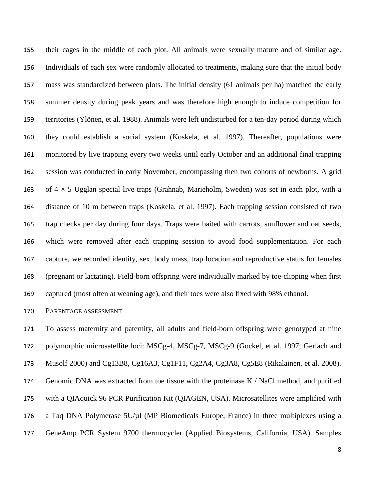their cages in the middle of each plot. All animals were sexually mature and of similar age. Individuals of each sex were randomly allocated to treatments, making sure that the initial body mass was standardized between plots. The initial density (61 animals per ha) matched the early summer density during peak years and was therefore high enough to induce competition for territories (Ylönen, et al. 1988). Animals were left undisturbed for a ten-day period during which they could establish a social system (Koskela, et al. 1997). Thereafter, populations were monitored by live trapping every two weeks until early October and an additional final trapping session was conducted in early November, encompassing then two cohorts of newborns. A grid 163 of  $4 \times 5$  Ugglan special live traps (Grahnab, Marieholm, Sweden) was set in each plot, with a distance of 10 m between traps (Koskela, et al. 1997). Each trapping session consisted of two trap checks per day during four days. Traps were baited with carrots, sunflower and oat seeds, which were removed after each trapping session to avoid food supplementation. For each capture, we recorded identity, sex, body mass, trap location and reproductive status for females (pregnant or lactating). Field-born offspring were individually marked by toe-clipping when first captured (most often at weaning age), and their toes were also fixed with 98% ethanol.

#### PARENTAGE ASSESSMENT

 To assess maternity and paternity, all adults and field-born offspring were genotyped at nine polymorphic microsatellite loci: MSCg-4, MSCg-7, MSCg-9 (Gockel, et al. 1997; Gerlach and Musolf 2000) and Cg13B8, Cg16A3, Cg1F11, Cg2A4, Cg3A8, Cg5E8 (Rikalainen, et al. 2008). Genomic DNA was extracted from toe tissue with the proteinase K / NaCl method, and purified with a QIAquick 96 PCR Purification Kit (QIAGEN, USA). Microsatellites were amplified with a Taq DNA Polymerase 5U/µl (MP Biomedicals Europe, France) in three multiplexes using a GeneAmp PCR System 9700 thermocycler (Applied Biosystems, California, USA). Samples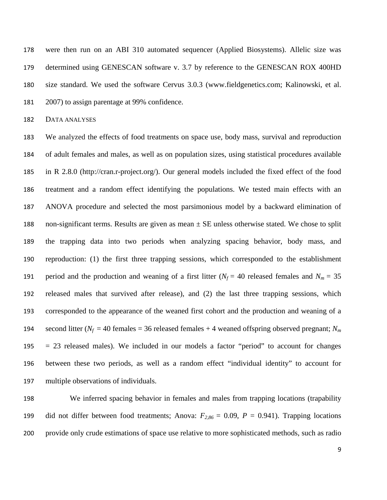were then run on an ABI 310 automated sequencer (Applied Biosystems). Allelic size was determined using GENESCAN software v. 3.7 by reference to the GENESCAN ROX 400HD size standard. We used the software Cervus 3.0.3 (www.fieldgenetics.com; Kalinowski, et al. 2007) to assign parentage at 99% confidence.

DATA ANALYSES

 We analyzed the effects of food treatments on space use, body mass, survival and reproduction of adult females and males, as well as on population sizes, using statistical procedures available in R 2.8.0 (http://cran.r-project.org/). Our general models included the fixed effect of the food treatment and a random effect identifying the populations. We tested main effects with an ANOVA procedure and selected the most parsimonious model by a backward elimination of 188 non-significant terms. Results are given as mean  $\pm$  SE unless otherwise stated. We chose to split the trapping data into two periods when analyzing spacing behavior, body mass, and reproduction: (1) the first three trapping sessions, which corresponded to the establishment 191 period and the production and weaning of a first litter ( $N_f$  = 40 released females and  $N_m$  = 35 released males that survived after release), and (2) the last three trapping sessions, which corresponded to the appearance of the weaned first cohort and the production and weaning of a 194 second litter ( $N_f$  = 40 females = 36 released females + 4 weaned offspring observed pregnant;  $N_m$  = 23 released males). We included in our models a factor "period" to account for changes between these two periods, as well as a random effect "individual identity" to account for multiple observations of individuals.

 We inferred spacing behavior in females and males from trapping locations (trapability 199 did not differ between food treatments; Anova:  $F_{2,86} = 0.09$ ,  $P = 0.941$ ). Trapping locations provide only crude estimations of space use relative to more sophisticated methods, such as radio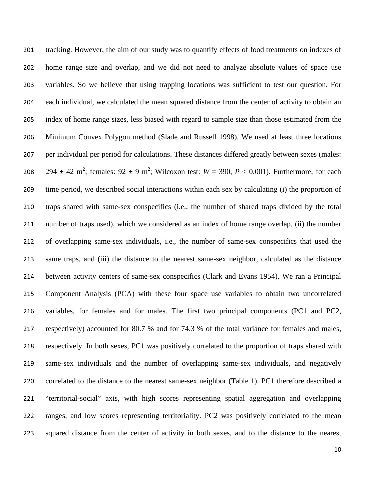tracking. However, the aim of our study was to quantify effects of food treatments on indexes of home range size and overlap, and we did not need to analyze absolute values of space use variables. So we believe that using trapping locations was sufficient to test our question. For each individual, we calculated the mean squared distance from the center of activity to obtain an index of home range sizes, less biased with regard to sample size than those estimated from the Minimum Convex Polygon method (Slade and Russell 1998). We used at least three locations per individual per period for calculations. These distances differed greatly between sexes (males:  $294 \pm 42$  m<sup>2</sup>; females:  $92 \pm 9$  m<sup>2</sup>; Wilcoxon test:  $W = 390$ ,  $P < 0.001$ ). Furthermore, for each time period, we described social interactions within each sex by calculating (i) the proportion of traps shared with same-sex conspecifics (i.e., the number of shared traps divided by the total number of traps used), which we considered as an index of home range overlap, (ii) the number of overlapping same-sex individuals, i.e., the number of same-sex conspecifics that used the same traps, and (iii) the distance to the nearest same-sex neighbor, calculated as the distance between activity centers of same-sex conspecifics (Clark and Evans 1954). We ran a Principal Component Analysis (PCA) with these four space use variables to obtain two uncorrelated variables, for females and for males. The first two principal components (PC1 and PC2, respectively) accounted for 80.7 % and for 74.3 % of the total variance for females and males, respectively. In both sexes, PC1 was positively correlated to the proportion of traps shared with same-sex individuals and the number of overlapping same-sex individuals, and negatively correlated to the distance to the nearest same-sex neighbor (Table 1). PC1 therefore described a "territorial-social" axis, with high scores representing spatial aggregation and overlapping ranges, and low scores representing territoriality. PC2 was positively correlated to the mean squared distance from the center of activity in both sexes, and to the distance to the nearest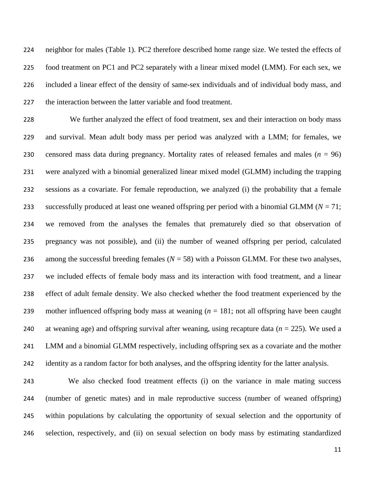neighbor for males (Table 1). PC2 therefore described home range size. We tested the effects of food treatment on PC1 and PC2 separately with a linear mixed model (LMM). For each sex, we included a linear effect of the density of same-sex individuals and of individual body mass, and the interaction between the latter variable and food treatment.

 We further analyzed the effect of food treatment, sex and their interaction on body mass and survival. Mean adult body mass per period was analyzed with a LMM; for females, we 230 censored mass data during pregnancy. Mortality rates of released females and males  $(n = 96)$  were analyzed with a binomial generalized linear mixed model (GLMM) including the trapping sessions as a covariate. For female reproduction, we analyzed (i) the probability that a female 233 successfully produced at least one weaned offspring per period with a binomial GLMM ( $N = 71$ ; we removed from the analyses the females that prematurely died so that observation of pregnancy was not possible), and (ii) the number of weaned offspring per period, calculated 236 among the successful breeding females  $(N = 58)$  with a Poisson GLMM. For these two analyses, we included effects of female body mass and its interaction with food treatment, and a linear effect of adult female density. We also checked whether the food treatment experienced by the mother influenced offspring body mass at weaning (*n* = 181; not all offspring have been caught at weaning age) and offspring survival after weaning, using recapture data (*n* = 225). We used a LMM and a binomial GLMM respectively, including offspring sex as a covariate and the mother identity as a random factor for both analyses, and the offspring identity for the latter analysis.

 We also checked food treatment effects (i) on the variance in male mating success (number of genetic mates) and in male reproductive success (number of weaned offspring) within populations by calculating the opportunity of sexual selection and the opportunity of selection, respectively, and (ii) on sexual selection on body mass by estimating standardized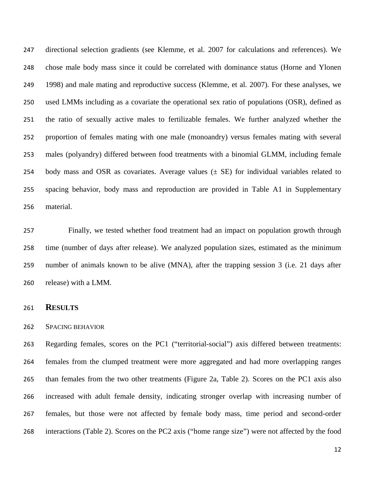directional selection gradients (see Klemme, et al. 2007 for calculations and references). We chose male body mass since it could be correlated with dominance status (Horne and Ylonen 1998) and male mating and reproductive success (Klemme, et al. 2007). For these analyses, we used LMMs including as a covariate the operational sex ratio of populations (OSR), defined as the ratio of sexually active males to fertilizable females. We further analyzed whether the proportion of females mating with one male (monoandry) versus females mating with several males (polyandry) differed between food treatments with a binomial GLMM, including female 254 body mass and OSR as covariates. Average values  $(\pm \text{ SE})$  for individual variables related to spacing behavior, body mass and reproduction are provided in Table A1 in Supplementary material.

 Finally, we tested whether food treatment had an impact on population growth through time (number of days after release). We analyzed population sizes, estimated as the minimum number of animals known to be alive (MNA), after the trapping session 3 (i.e. 21 days after release) with a LMM.

#### **RESULTS**

#### SPACING BEHAVIOR

 Regarding females, scores on the PC1 ("territorial-social") axis differed between treatments: females from the clumped treatment were more aggregated and had more overlapping ranges than females from the two other treatments (Figure 2a, Table 2). Scores on the PC1 axis also increased with adult female density, indicating stronger overlap with increasing number of females, but those were not affected by female body mass, time period and second-order interactions (Table 2). Scores on the PC2 axis ("home range size") were not affected by the food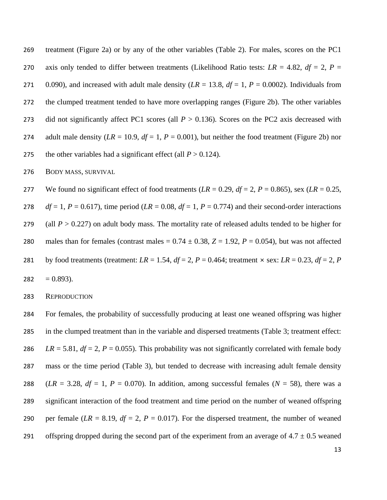269 treatment (Figure 2a) or by any of the other variables (Table 2). For males, scores on the PC1 270 axis only tended to differ between treatments (Likelihood Ratio tests:  $LR = 4.82$ ,  $df = 2$ ,  $P =$ 271 0.090), and increased with adult male density  $(LR = 13.8, df = 1, P = 0.0002)$ . Individuals from 272 the clumped treatment tended to have more overlapping ranges (Figure 2b). The other variables 273 did not significantly affect PC1 scores (all  $P > 0.136$ ). Scores on the PC2 axis decreased with 274 adult male density  $(LR = 10.9, df = 1, P = 0.001)$ , but neither the food treatment (Figure 2b) nor 275 the other variables had a significant effect (all  $P > 0.124$ ).

276 BODY MASS, SURVIVAL

277 We found no significant effect of food treatments  $(LR = 0.29, df = 2, P = 0.865)$ , sex  $(LR = 0.25,$ 278 *df* = 1, *P* = 0.617), time period (*LR* = 0.08, *df* = 1, *P* = 0.774) and their second-order interactions 279 (all  $P > 0.227$ ) on adult body mass. The mortality rate of released adults tended to be higher for 280 males than for females (contrast males  $= 0.74 \pm 0.38$ ,  $Z = 1.92$ ,  $P = 0.054$ ), but was not affected 281 by food treatments (treatment:  $LR = 1.54$ ,  $df = 2$ ,  $P = 0.464$ ; treatment  $\times$  sex:  $LR = 0.23$ ,  $df = 2$ ,  $P = 0.464$ ;  $282 = 0.893$ .

283 REPRODUCTION

 For females, the probability of successfully producing at least one weaned offspring was higher in the clumped treatment than in the variable and dispersed treatments (Table 3; treatment effect: *LR* = 5.81,  $df = 2$ ,  $P = 0.055$ ). This probability was not significantly correlated with female body mass or the time period (Table 3), but tended to decrease with increasing adult female density 288 (*LR* = 3.28,  $df = 1$ ,  $P = 0.070$ ). In addition, among successful females ( $N = 58$ ), there was a significant interaction of the food treatment and time period on the number of weaned offspring 290 per female  $(LR = 8.19, df = 2, P = 0.017)$ . For the dispersed treatment, the number of weaned 291 offspring dropped during the second part of the experiment from an average of  $4.7 \pm 0.5$  weaned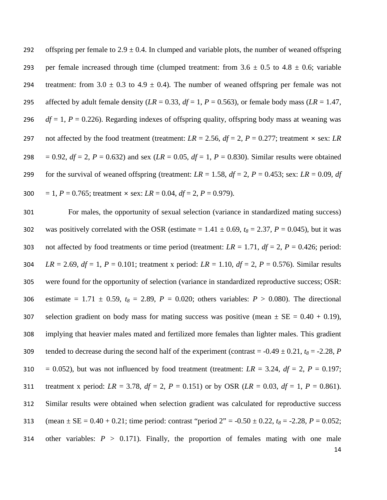292 offspring per female to  $2.9 \pm 0.4$ . In clumped and variable plots, the number of weaned offspring 293 per female increased through time (clumped treatment: from  $3.6 \pm 0.5$  to  $4.8 \pm 0.6$ ; variable 294 treatment: from  $3.0 \pm 0.3$  to  $4.9 \pm 0.4$ ). The number of weaned offspring per female was not 295 affected by adult female density  $(LR = 0.33, df = 1, P = 0.563)$ , or female body mass  $(LR = 1.47,$ 296 *df* = 1, *P* = 0.226). Regarding indexes of offspring quality, offspring body mass at weaning was 297 not affected by the food treatment (treatment:  $LR = 2.56$ ,  $df = 2$ ,  $P = 0.277$ ; treatment  $\times$  sex: *LR* 298 = 0.92,  $df = 2$ ,  $P = 0.632$ ) and sex (*LR* = 0.05,  $df = 1$ ,  $P = 0.830$ ). Similar results were obtained 299 for the survival of weaned offspring (treatment:  $LR = 1.58$ ,  $df = 2$ ,  $P = 0.453$ ; sex:  $LR = 0.09$ ,  $df = 2$ 300 = 1,  $P = 0.765$ ; treatment  $\times$  sex:  $LR = 0.04$ ,  $df = 2$ ,  $P = 0.979$ ).

14 301 For males, the opportunity of sexual selection (variance in standardized mating success) 302 was positively correlated with the OSR (estimate =  $1.41 \pm 0.69$ ,  $t_8 = 2.37$ ,  $P = 0.045$ ), but it was 303 not affected by food treatments or time period (treatment:  $LR = 1.71$ ,  $df = 2$ ,  $P = 0.426$ ; period: 304 *LR* = 2.69, *df* = 1, *P* = 0.101; treatment x period: *LR* = 1.10, *df* = 2, *P* = 0.576). Similar results 305 were found for the opportunity of selection (variance in standardized reproductive success; OSR: 306 estimate =  $1.71 \pm 0.59$ ,  $t_8 = 2.89$ ,  $P = 0.020$ ; others variables:  $P > 0.080$ ). The directional 307 selection gradient on body mass for mating success was positive (mean  $\pm$  SE = 0.40 + 0.19), 308 implying that heavier males mated and fertilized more females than lighter males. This gradient 309 tended to decrease during the second half of the experiment (contrast =  $-0.49 \pm 0.21$ ,  $t_8 = -2.28$ , *P* 310 = 0.052), but was not influenced by food treatment (treatment:  $LR = 3.24$ ,  $df = 2$ ,  $P = 0.197$ ; 311 treatment x period: *LR* = 3.78, *df* = 2, *P* = 0.151) or by OSR (*LR* = 0.03, *df* = 1, *P* = 0.861). 312 Similar results were obtained when selection gradient was calculated for reproductive success 313 (mean  $\pm$  SE = 0.40 + 0.21; time period: contrast "period 2" = -0.50  $\pm$  0.22,  $t_8$  = -2.28, *P* = 0.052; 314 other variables:  $P > 0.171$ ). Finally, the proportion of females mating with one male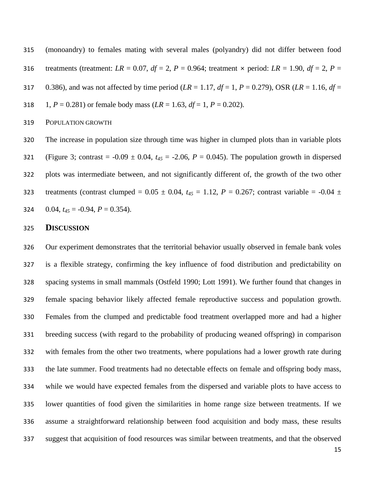(monoandry) to females mating with several males (polyandry) did not differ between food 316 treatments (treatment:  $LR = 0.07$ ,  $df = 2$ ,  $P = 0.964$ ; treatment  $\times$  period:  $LR = 1.90$ ,  $df = 2$ ,  $P =$ 317 0.386), and was not affected by time period ( $LR = 1.17$ ,  $df = 1$ ,  $P = 0.279$ ), OSR ( $LR = 1.16$ ,  $df = 1.16$ 318 1,  $P = 0.281$  or female body mass ( $LR = 1.63$ ,  $df = 1$ ,  $P = 0.202$ ).

POPULATION GROWTH

 The increase in population size through time was higher in clumped plots than in variable plots 321 (Figure 3; contrast =  $-0.09 \pm 0.04$ ,  $t_{45} = -2.06$ ,  $P = 0.045$ ). The population growth in dispersed plots was intermediate between, and not significantly different of, the growth of the two other 323 treatments (contrast clumped =  $0.05 \pm 0.04$ ,  $t_{45} = 1.12$ ,  $P = 0.267$ ; contrast variable =  $-0.04 \pm 0.04$ 324 0.04,  $t_{45} = -0.94$ ,  $P = 0.354$ ).

#### **DISCUSSION**

 Our experiment demonstrates that the territorial behavior usually observed in female bank voles is a flexible strategy, confirming the key influence of food distribution and predictability on spacing systems in small mammals (Ostfeld 1990; Lott 1991). We further found that changes in female spacing behavior likely affected female reproductive success and population growth. Females from the clumped and predictable food treatment overlapped more and had a higher breeding success (with regard to the probability of producing weaned offspring) in comparison with females from the other two treatments, where populations had a lower growth rate during the late summer. Food treatments had no detectable effects on female and offspring body mass, while we would have expected females from the dispersed and variable plots to have access to lower quantities of food given the similarities in home range size between treatments. If we assume a straightforward relationship between food acquisition and body mass, these results suggest that acquisition of food resources was similar between treatments, and that the observed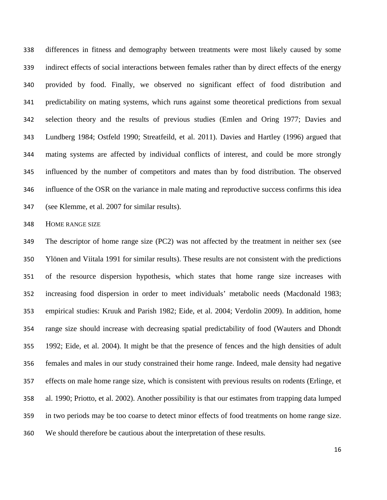differences in fitness and demography between treatments were most likely caused by some indirect effects of social interactions between females rather than by direct effects of the energy provided by food. Finally, we observed no significant effect of food distribution and predictability on mating systems, which runs against some theoretical predictions from sexual selection theory and the results of previous studies (Emlen and Oring 1977; Davies and Lundberg 1984; Ostfeld 1990; Streatfeild, et al. 2011). Davies and Hartley (1996) argued that mating systems are affected by individual conflicts of interest, and could be more strongly influenced by the number of competitors and mates than by food distribution. The observed influence of the OSR on the variance in male mating and reproductive success confirms this idea (see Klemme, et al. 2007 for similar results).

HOME RANGE SIZE

 The descriptor of home range size (PC2) was not affected by the treatment in neither sex (see Ylönen and Viitala 1991 for similar results). These results are not consistent with the predictions of the resource dispersion hypothesis, which states that home range size increases with increasing food dispersion in order to meet individuals' metabolic needs (Macdonald 1983; empirical studies: Kruuk and Parish 1982; Eide, et al. 2004; Verdolin 2009). In addition, home range size should increase with decreasing spatial predictability of food (Wauters and Dhondt 1992; Eide, et al. 2004). It might be that the presence of fences and the high densities of adult females and males in our study constrained their home range. Indeed, male density had negative effects on male home range size, which is consistent with previous results on rodents (Erlinge, et al. 1990; Priotto, et al. 2002). Another possibility is that our estimates from trapping data lumped in two periods may be too coarse to detect minor effects of food treatments on home range size. We should therefore be cautious about the interpretation of these results.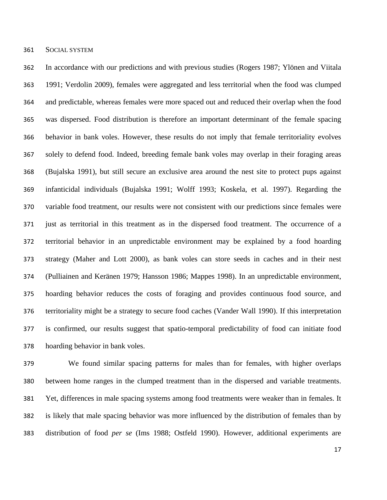SOCIAL SYSTEM

 In accordance with our predictions and with previous studies (Rogers 1987; Ylönen and Viitala 1991; Verdolin 2009), females were aggregated and less territorial when the food was clumped and predictable, whereas females were more spaced out and reduced their overlap when the food was dispersed. Food distribution is therefore an important determinant of the female spacing behavior in bank voles. However, these results do not imply that female territoriality evolves solely to defend food. Indeed, breeding female bank voles may overlap in their foraging areas (Bujalska 1991), but still secure an exclusive area around the nest site to protect pups against infanticidal individuals (Bujalska 1991; Wolff 1993; Koskela, et al. 1997). Regarding the variable food treatment, our results were not consistent with our predictions since females were just as territorial in this treatment as in the dispersed food treatment. The occurrence of a territorial behavior in an unpredictable environment may be explained by a food hoarding strategy (Maher and Lott 2000), as bank voles can store seeds in caches and in their nest (Pulliainen and Keränen 1979; Hansson 1986; Mappes 1998). In an unpredictable environment, hoarding behavior reduces the costs of foraging and provides continuous food source, and territoriality might be a strategy to secure food caches (Vander Wall 1990). If this interpretation is confirmed, our results suggest that spatio-temporal predictability of food can initiate food hoarding behavior in bank voles.

 We found similar spacing patterns for males than for females, with higher overlaps between home ranges in the clumped treatment than in the dispersed and variable treatments. Yet, differences in male spacing systems among food treatments were weaker than in females. It is likely that male spacing behavior was more influenced by the distribution of females than by distribution of food *per se* (Ims 1988; Ostfeld 1990). However, additional experiments are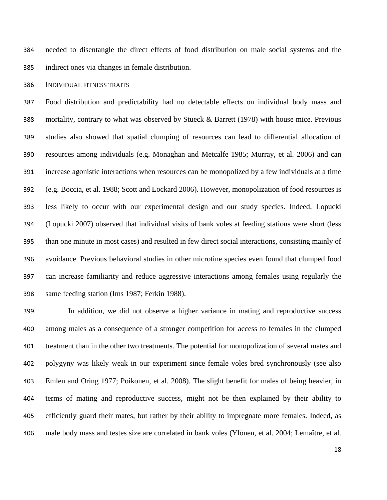needed to disentangle the direct effects of food distribution on male social systems and the indirect ones via changes in female distribution.

#### INDIVIDUAL FITNESS TRAITS

 Food distribution and predictability had no detectable effects on individual body mass and mortality, contrary to what was observed by Stueck & Barrett (1978) with house mice. Previous studies also showed that spatial clumping of resources can lead to differential allocation of resources among individuals (e.g. Monaghan and Metcalfe 1985; Murray, et al. 2006) and can increase agonistic interactions when resources can be monopolized by a few individuals at a time (e.g. Boccia, et al. 1988; Scott and Lockard 2006). However, monopolization of food resources is less likely to occur with our experimental design and our study species. Indeed, Lopucki (Lopucki 2007) observed that individual visits of bank voles at feeding stations were short (less than one minute in most cases) and resulted in few direct social interactions, consisting mainly of avoidance. Previous behavioral studies in other microtine species even found that clumped food can increase familiarity and reduce aggressive interactions among females using regularly the same feeding station (Ims 1987; Ferkin 1988).

 In addition, we did not observe a higher variance in mating and reproductive success among males as a consequence of a stronger competition for access to females in the clumped treatment than in the other two treatments. The potential for monopolization of several mates and polygyny was likely weak in our experiment since female voles bred synchronously (see also Emlen and Oring 1977; Poikonen, et al. 2008). The slight benefit for males of being heavier, in terms of mating and reproductive success, might not be then explained by their ability to efficiently guard their mates, but rather by their ability to impregnate more females. Indeed, as male body mass and testes size are correlated in bank voles (Ylönen, et al. 2004; Lemaître, et al.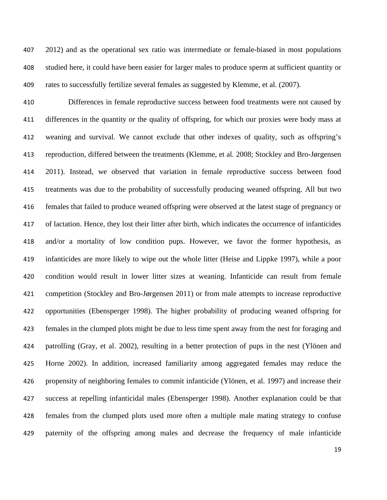2012) and as the operational sex ratio was intermediate or female-biased in most populations studied here, it could have been easier for larger males to produce sperm at sufficient quantity or rates to successfully fertilize several females as suggested by Klemme, et al. (2007).

 Differences in female reproductive success between food treatments were not caused by differences in the quantity or the quality of offspring, for which our proxies were body mass at weaning and survival. We cannot exclude that other indexes of quality, such as offspring's reproduction, differed between the treatments (Klemme, et al. 2008; Stockley and Bro-Jørgensen 2011). Instead, we observed that variation in female reproductive success between food treatments was due to the probability of successfully producing weaned offspring. All but two females that failed to produce weaned offspring were observed at the latest stage of pregnancy or of lactation. Hence, they lost their litter after birth, which indicates the occurrence of infanticides and/or a mortality of low condition pups. However, we favor the former hypothesis, as infanticides are more likely to wipe out the whole litter (Heise and Lippke 1997), while a poor condition would result in lower litter sizes at weaning. Infanticide can result from female competition (Stockley and Bro-Jørgensen 2011) or from male attempts to increase reproductive opportunities (Ebensperger 1998). The higher probability of producing weaned offspring for females in the clumped plots might be due to less time spent away from the nest for foraging and patrolling (Gray, et al. 2002), resulting in a better protection of pups in the nest (Ylönen and Horne 2002). In addition, increased familiarity among aggregated females may reduce the propensity of neighboring females to commit infanticide (Ylönen, et al. 1997) and increase their success at repelling infanticidal males (Ebensperger 1998). Another explanation could be that females from the clumped plots used more often a multiple male mating strategy to confuse paternity of the offspring among males and decrease the frequency of male infanticide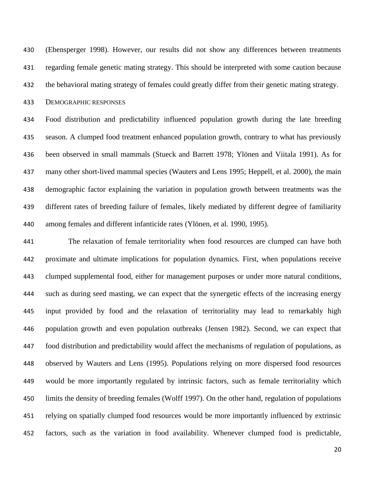(Ebensperger 1998). However, our results did not show any differences between treatments regarding female genetic mating strategy. This should be interpreted with some caution because the behavioral mating strategy of females could greatly differ from their genetic mating strategy.

DEMOGRAPHIC RESPONSES

 Food distribution and predictability influenced population growth during the late breeding season. A clumped food treatment enhanced population growth, contrary to what has previously been observed in small mammals (Stueck and Barrett 1978; Ylönen and Viitala 1991). As for many other short-lived mammal species (Wauters and Lens 1995; Heppell, et al. 2000), the main demographic factor explaining the variation in population growth between treatments was the different rates of breeding failure of females, likely mediated by different degree of familiarity among females and different infanticide rates (Ylönen, et al. 1990, 1995).

 The relaxation of female territoriality when food resources are clumped can have both proximate and ultimate implications for population dynamics. First, when populations receive clumped supplemental food, either for management purposes or under more natural conditions, such as during seed masting, we can expect that the synergetic effects of the increasing energy input provided by food and the relaxation of territoriality may lead to remarkably high population growth and even population outbreaks (Jensen 1982). Second, we can expect that food distribution and predictability would affect the mechanisms of regulation of populations, as observed by Wauters and Lens (1995). Populations relying on more dispersed food resources would be more importantly regulated by intrinsic factors, such as female territoriality which limits the density of breeding females (Wolff 1997). On the other hand, regulation of populations relying on spatially clumped food resources would be more importantly influenced by extrinsic factors, such as the variation in food availability. Whenever clumped food is predictable,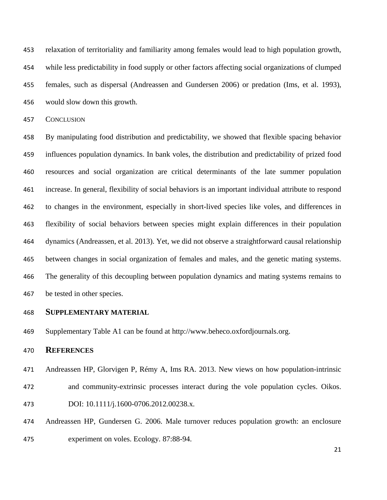relaxation of territoriality and familiarity among females would lead to high population growth, while less predictability in food supply or other factors affecting social organizations of clumped females, such as dispersal (Andreassen and Gundersen 2006) or predation (Ims, et al. 1993), would slow down this growth.

CONCLUSION

 By manipulating food distribution and predictability, we showed that flexible spacing behavior influences population dynamics. In bank voles, the distribution and predictability of prized food resources and social organization are critical determinants of the late summer population increase. In general, flexibility of social behaviors is an important individual attribute to respond to changes in the environment, especially in short-lived species like voles, and differences in flexibility of social behaviors between species might explain differences in their population dynamics (Andreassen, et al. 2013). Yet, we did not observe a straightforward causal relationship between changes in social organization of females and males, and the genetic mating systems. The generality of this decoupling between population dynamics and mating systems remains to be tested in other species.

#### **SUPPLEMENTARY MATERIAL**

Supplementary Table A1 can be found at http://www.beheco.oxfordjournals.org.

#### **REFERENCES**

- Andreassen HP, Glorvigen P, Rémy A, Ims RA. 2013. New views on how population-intrinsic and community-extrinsic processes interact during the vole population cycles. Oikos. DOI: 10.1111/j.1600-0706.2012.00238.x.
- Andreassen HP, Gundersen G. 2006. Male turnover reduces population growth: an enclosure experiment on voles. Ecology. 87:88-94.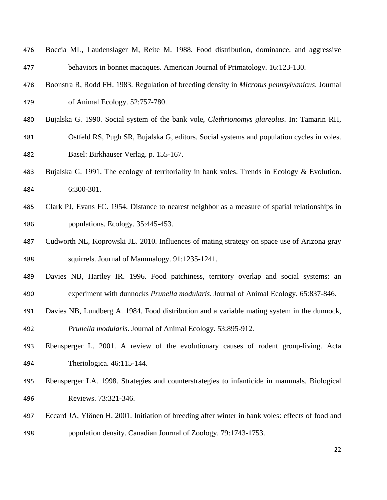| 476 | Boccia ML, Laudenslager M, Reite M. 1988. Food distribution, dominance, and aggressive             |
|-----|----------------------------------------------------------------------------------------------------|
| 477 | behaviors in bonnet macaques. American Journal of Primatology. 16:123-130.                         |
| 478 | Boonstra R, Rodd FH. 1983. Regulation of breeding density in Microtus pennsylvanicus. Journal      |
| 479 | of Animal Ecology. 52:757-780.                                                                     |
| 480 | Bujalska G. 1990. Social system of the bank vole, <i>Clethrionomys glareolus</i> . In: Tamarin RH, |
| 481 | Ostfeld RS, Pugh SR, Bujalska G, editors. Social systems and population cycles in voles.           |
| 482 | Basel: Birkhauser Verlag. p. 155-167.                                                              |
| 483 | Bujalska G. 1991. The ecology of territoriality in bank voles. Trends in Ecology & Evolution.      |
| 484 | 6:300-301.                                                                                         |
| 485 | Clark PJ, Evans FC. 1954. Distance to nearest neighbor as a measure of spatial relationships in    |
| 486 | populations. Ecology. 35:445-453.                                                                  |
| 487 | Cudworth NL, Koprowski JL. 2010. Influences of mating strategy on space use of Arizona gray        |
| 488 | squirrels. Journal of Mammalogy. 91:1235-1241.                                                     |
| 489 | Davies NB, Hartley IR. 1996. Food patchiness, territory overlap and social systems: an             |
| 490 | experiment with dunnocks Prunella modularis. Journal of Animal Ecology. 65:837-846.                |
| 491 | Davies NB, Lundberg A. 1984. Food distribution and a variable mating system in the dunnock,        |
| 492 | Prunella modularis. Journal of Animal Ecology. 53:895-912.                                         |
| 493 | Ebensperger L. 2001. A review of the evolutionary causes of rodent group-living. Acta              |

- Theriologica. 46:115-144.
- Ebensperger LA. 1998. Strategies and counterstrategies to infanticide in mammals. Biological Reviews. 73:321-346.
- Eccard JA, Ylönen H. 2001. Initiation of breeding after winter in bank voles: effects of food and population density. Canadian Journal of Zoology. 79:1743-1753.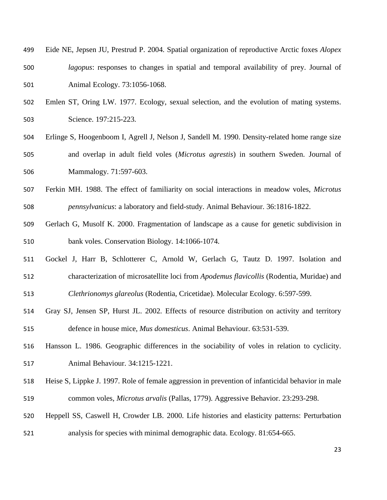- Eide NE, Jepsen JU, Prestrud P. 2004. Spatial organization of reproductive Arctic foxes *Alopex lagopus*: responses to changes in spatial and temporal availability of prey. Journal of Animal Ecology. 73:1056-1068.
- Emlen ST, Oring LW. 1977. Ecology, sexual selection, and the evolution of mating systems. Science. 197:215-223.
- Erlinge S, Hoogenboom I, Agrell J, Nelson J, Sandell M. 1990. Density-related home range size and overlap in adult field voles (*Microtus agrestis*) in southern Sweden. Journal of Mammalogy. 71:597-603.
- Ferkin MH. 1988. The effect of familiarity on social interactions in meadow voles, *Microtus pennsylvanicus*: a laboratory and field-study. Animal Behaviour. 36:1816-1822.
- Gerlach G, Musolf K. 2000. Fragmentation of landscape as a cause for genetic subdivision in bank voles. Conservation Biology. 14:1066-1074.
- Gockel J, Harr B, Schlotterer C, Arnold W, Gerlach G, Tautz D. 1997. Isolation and characterization of microsatellite loci from *Apodemus flavicollis* (Rodentia, Muridae) and *Clethrionomys glareolus* (Rodentia, Cricetidae). Molecular Ecology. 6:597-599.
- Gray SJ, Jensen SP, Hurst JL. 2002. Effects of resource distribution on activity and territory defence in house mice, *Mus domesticus*. Animal Behaviour. 63:531-539.
- Hansson L. 1986. Geographic differences in the sociability of voles in relation to cyclicity. Animal Behaviour. 34:1215-1221.
- Heise S, Lippke J. 1997. Role of female aggression in prevention of infanticidal behavior in male common voles, *Microtus arvalis* (Pallas, 1779). Aggressive Behavior. 23:293-298.
- Heppell SS, Caswell H, Crowder LB. 2000. Life histories and elasticity patterns: Perturbation analysis for species with minimal demographic data. Ecology. 81:654-665.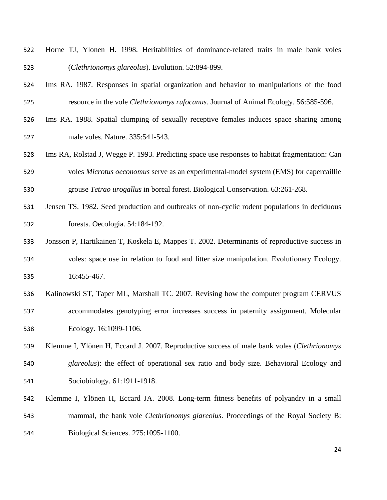- Horne TJ, Ylonen H. 1998. Heritabilities of dominance-related traits in male bank voles (*Clethrionomys glareolus*). Evolution. 52:894-899.
- Ims RA. 1987. Responses in spatial organization and behavior to manipulations of the food resource in the vole *Clethrionomys rufocanus*. Journal of Animal Ecology. 56:585-596.
- Ims RA. 1988. Spatial clumping of sexually receptive females induces space sharing among male voles. Nature. 335:541-543.
- Ims RA, Rolstad J, Wegge P. 1993. Predicting space use responses to habitat fragmentation: Can voles *Microtus oeconomus* serve as an experimental-model system (EMS) for capercaillie grouse *Tetrao urogallus* in boreal forest. Biological Conservation. 63:261-268.
- Jensen TS. 1982. Seed production and outbreaks of non-cyclic rodent populations in deciduous forests. Oecologia. 54:184-192.
- Jonsson P, Hartikainen T, Koskela E, Mappes T. 2002. Determinants of reproductive success in voles: space use in relation to food and litter size manipulation. Evolutionary Ecology. 16:455-467.
- Kalinowski ST, Taper ML, Marshall TC. 2007. Revising how the computer program CERVUS accommodates genotyping error increases success in paternity assignment. Molecular Ecology. 16:1099-1106.
- Klemme I, Ylönen H, Eccard J. 2007. Reproductive success of male bank voles (*Clethrionomys glareolus*): the effect of operational sex ratio and body size. Behavioral Ecology and Sociobiology. 61:1911-1918.
- Klemme I, Ylönen H, Eccard JA. 2008. Long-term fitness benefits of polyandry in a small mammal, the bank vole *Clethrionomys glareolus*. Proceedings of the Royal Society B: Biological Sciences. 275:1095-1100.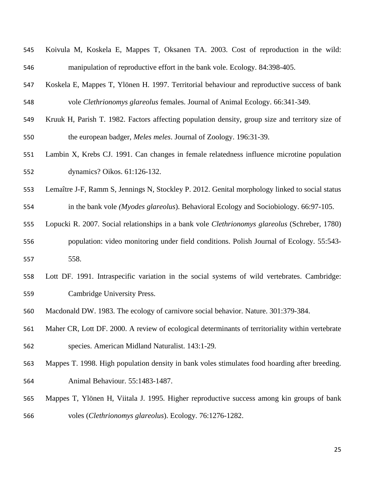| 545 | Koivula M, Koskela E, Mappes T, Oksanen TA. 2003. Cost of reproduction in the wild:              |
|-----|--------------------------------------------------------------------------------------------------|
| 546 | manipulation of reproductive effort in the bank vole. Ecology. 84:398-405.                       |
| 547 | Koskela E, Mappes T, Ylönen H. 1997. Territorial behaviour and reproductive success of bank      |
| 548 | vole Clethrionomys glareolus females. Journal of Animal Ecology. 66:341-349.                     |
| 549 | Kruuk H, Parish T. 1982. Factors affecting population density, group size and territory size of  |
| 550 | the european badger, <i>Meles meles</i> . Journal of Zoology. 196:31-39.                         |
| 551 | Lambin X, Krebs CJ. 1991. Can changes in female relatedness influence microtine population       |
| 552 | dynamics? Oikos. 61:126-132.                                                                     |
| 553 | Lemaître J-F, Ramm S, Jennings N, Stockley P. 2012. Genital morphology linked to social status   |
| 554 | in the bank vole ( <i>Myodes glareolus</i> ). Behavioral Ecology and Sociobiology. 66:97-105.    |
| 555 | Lopucki R. 2007. Social relationships in a bank vole Clethrionomys glareolus (Schreber, 1780)    |
| 556 | population: video monitoring under field conditions. Polish Journal of Ecology. 55:543-          |
| 557 | 558.                                                                                             |
| 558 | Lott DF. 1991. Intraspecific variation in the social systems of wild vertebrates. Cambridge:     |
| 559 | Cambridge University Press.                                                                      |
| 560 | Macdonald DW. 1983. The ecology of carnivore social behavior. Nature. 301:379-384.               |
| 561 | Maher CR, Lott DF. 2000. A review of ecological determinants of territoriality within vertebrate |
| 562 | species. American Midland Naturalist. 143:1-29.                                                  |
| 563 | Mappes T. 1998. High population density in bank voles stimulates food hoarding after breeding.   |
| 564 | Animal Behaviour. 55:1483-1487.                                                                  |
| 565 | Mappes T, Ylönen H, Viitala J. 1995. Higher reproductive success among kin groups of bank        |

voles (*Clethrionomys glareolus*). Ecology. 76:1276-1282.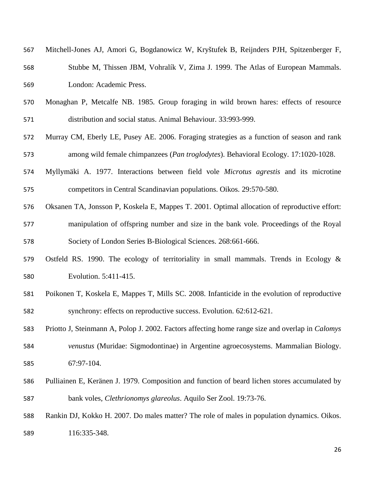| 567 | Mitchell-Jones AJ, Amori G, Bogdanowicz W, Kryštufek B, Reijnders PJH, Spitzenberger F,         |
|-----|-------------------------------------------------------------------------------------------------|
| 568 | Stubbe M, Thissen JBM, Vohralík V, Zima J. 1999. The Atlas of European Mammals.                 |
| 569 | London: Academic Press.                                                                         |
| 570 | Monaghan P, Metcalfe NB. 1985. Group foraging in wild brown hares: effects of resource          |
| 571 | distribution and social status. Animal Behaviour. 33:993-999.                                   |
| 572 | Murray CM, Eberly LE, Pusey AE. 2006. Foraging strategies as a function of season and rank      |
| 573 | among wild female chimpanzees ( <i>Pan troglodytes</i> ). Behavioral Ecology. 17:1020-1028.     |
| 574 | Myllymäki A. 1977. Interactions between field vole <i>Microtus agrestis</i> and its microtine   |
| 575 | competitors in Central Scandinavian populations. Oikos. 29:570-580.                             |
| 576 | Oksanen TA, Jonsson P, Koskela E, Mappes T. 2001. Optimal allocation of reproductive effort:    |
| 577 | manipulation of offspring number and size in the bank vole. Proceedings of the Royal            |
| 578 | Society of London Series B-Biological Sciences. 268:661-666.                                    |
| 579 | Ostfeld RS. 1990. The ecology of territoriality in small mammals. Trends in Ecology $\&$        |
| 580 | Evolution. 5:411-415.                                                                           |
| 581 | Poikonen T, Koskela E, Mappes T, Mills SC. 2008. Infanticide in the evolution of reproductive   |
| 582 | synchrony: effects on reproductive success. Evolution. 62:612-621.                              |
| 583 | Priotto J, Steinmann A, Polop J. 2002. Factors affecting home range size and overlap in Calomys |
| 584 | venustus (Muridae: Sigmodontinae) in Argentine agroecosystems. Mammalian Biology.               |
| 585 | 67:97-104.                                                                                      |
| 586 | Pulliainen E, Keränen J. 1979. Composition and function of beard lichen stores accumulated by   |
| 587 | bank voles, Clethrionomys glareolus. Aquilo Ser Zool. 19:73-76.                                 |
| 588 | Rankin DJ, Kokko H. 2007. Do males matter? The role of males in population dynamics. Oikos.     |
| 589 | 116:335-348.                                                                                    |
|     |                                                                                                 |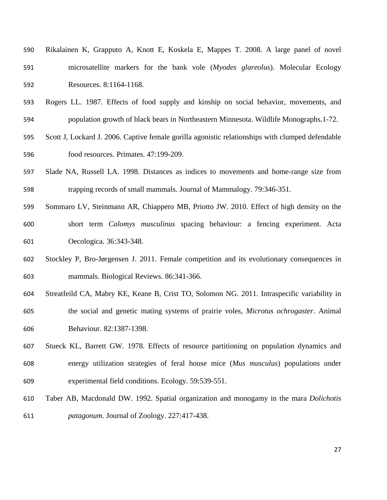| 590 | Rikalainen K, Grapputo A, Knott E, Koskela E, Mappes T. 2008. A large panel of novel |
|-----|--------------------------------------------------------------------------------------|
| 591 | microsatellite markers for the bank vole (Myodes glareolus). Molecular Ecology       |
| 592 | Resources. 8:1164-1168.                                                              |

- Rogers LL. 1987. Effects of food supply and kinship on social behavior, movements, and population growth of black bears in Northeastern Minnesota. Wildlife Monographs.1-72.
- Scott J, Lockard J. 2006. Captive female gorilla agonistic relationships with clumped defendable food resources. Primates. 47:199-209.
- Slade NA, Russell LA. 1998. Distances as indices to movements and home-range size from trapping records of small mammals. Journal of Mammalogy. 79:346-351.
- Sommaro LV, Steinmann AR, Chiappero MB, Priotto JW. 2010. Effect of high density on the short term *Calomys musculinus* spacing behaviour: a fencing experiment. Acta Oecologica. 36:343-348.
- Stockley P, Bro-Jørgensen J. 2011. Female competition and its evolutionary consequences in mammals. Biological Reviews. 86:341-366.
- Streatfeild CA, Mabry KE, Keane B, Crist TO, Solomon NG. 2011. Intraspecific variability in the social and genetic mating systems of prairie voles, *Microtus ochrogaster*. Animal Behaviour. 82:1387-1398.
- Stueck KL, Barrett GW. 1978. Effects of resource partitioning on population dynamics and energy utilization strategies of feral house mice (*Mus musculus*) populations under experimental field conditions. Ecology. 59:539-551.
- Taber AB, Macdonald DW. 1992. Spatial organization and monogamy in the mara *Dolichotis patagonum*. Journal of Zoology. 227:417-438.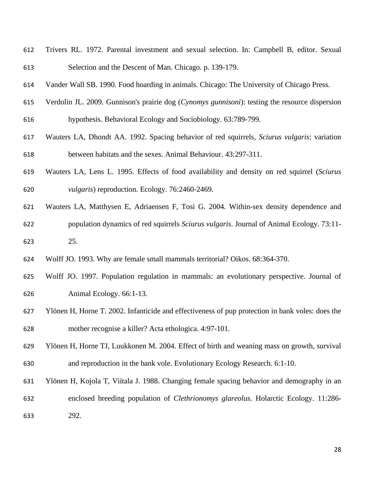- Trivers RL. 1972. Parental investment and sexual selection. In: Campbell B, editor. Sexual Selection and the Descent of Man. Chicago. p. 139-179.
- Vander Wall SB. 1990. Food hoarding in animals. Chicago: The University of Chicago Press.
- Verdolin JL. 2009. Gunnison's prairie dog (*Cynomys gunnisoni*): testing the resource dispersion hypothesis. Behavioral Ecology and Sociobiology. 63:789-799.
- 
- Wauters LA, Dhondt AA. 1992. Spacing behavior of red squirrels, *Sciurus vulgaris*: variation between habitats and the sexes. Animal Behaviour. 43:297-311.
- Wauters LA, Lens L. 1995. Effects of food availability and density on red squirrel (*Sciurus vulgaris*) reproduction. Ecology. 76:2460-2469.
- Wauters LA, Matthysen E, Adriaensen F, Tosi G. 2004. Within-sex density dependence and population dynamics of red squirrels *Sciurus vulgaris*. Journal of Animal Ecology. 73:11- 25.
- Wolff JO. 1993. Why are female small mammals territorial? Oikos. 68:364-370.
- Wolff JO. 1997. Population regulation in mammals: an evolutionary perspective. Journal of Animal Ecology. 66:1-13.
- Ylönen H, Horne T. 2002. Infanticide and effectiveness of pup protection in bank voles: does the mother recognise a killer? Acta ethologica. 4:97-101.
- Ylönen H, Horne TJ, Luukkonen M. 2004. Effect of birth and weaning mass on growth, survival and reproduction in the bank vole. Evolutionary Ecology Research. 6:1-10.
- Ylönen H, Kojola T, Viitala J. 1988. Changing female spacing behavior and demography in an
- enclosed breeding population of *Clethrionomys glareolus*. Holarctic Ecology. 11:286- 292.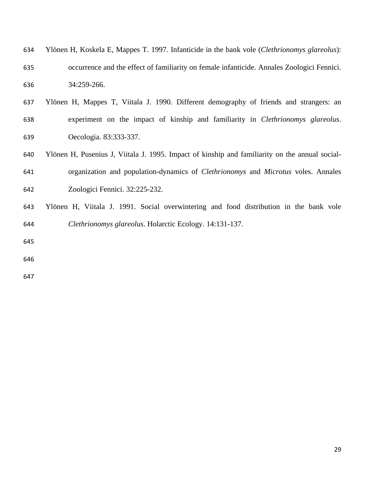| 634 | Ylönen H, Koskela E, Mappes T. 1997. Infanticide in the bank vole (Clethrionomys glareolus):    |
|-----|-------------------------------------------------------------------------------------------------|
| 635 | occurrence and the effect of familiarity on female infanticide. Annales Zoologici Fennici.      |
| 636 | 34:259-266.                                                                                     |
| 637 | Ylönen H, Mappes T, Viitala J. 1990. Different demography of friends and strangers: an          |
| 638 | experiment on the impact of kinship and familiarity in <i>Clethrionomys glareolus</i> .         |
| 639 | Oecologia. 83:333-337.                                                                          |
| 640 | Ylönen H, Pusenius J, Viitala J. 1995. Impact of kinship and familiarity on the annual social-  |
| 641 | organization and population-dynamics of <i>Clethrionomys</i> and <i>Microtus</i> voles. Annales |
| 642 | Zoologici Fennici. 32:225-232.                                                                  |
| 643 | Ylönen H, Viitala J. 1991. Social overwintering and food distribution in the bank vole          |
| 644 | Clethrionomys glareolus. Holarctic Ecology. 14:131-137.                                         |
| 645 |                                                                                                 |
| 646 |                                                                                                 |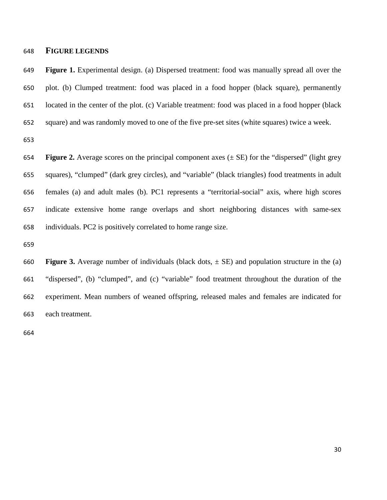#### **FIGURE LEGENDS**

 **Figure 1.** Experimental design. (a) Dispersed treatment: food was manually spread all over the plot. (b) Clumped treatment: food was placed in a food hopper (black square), permanently located in the center of the plot. (c) Variable treatment: food was placed in a food hopper (black square) and was randomly moved to one of the five pre-set sites (white squares) twice a week.

 **Figure 2.** Average scores on the principal component axes (± SE) for the "dispersed" (light grey squares), "clumped" (dark grey circles), and "variable" (black triangles) food treatments in adult females (a) and adult males (b). PC1 represents a "territorial-social" axis, where high scores indicate extensive home range overlaps and short neighboring distances with same-sex individuals. PC2 is positively correlated to home range size.

**660 Figure 3.** Average number of individuals (black dots,  $\pm$  SE) and population structure in the (a) "dispersed", (b) "clumped", and (c) "variable" food treatment throughout the duration of the experiment. Mean numbers of weaned offspring, released males and females are indicated for each treatment.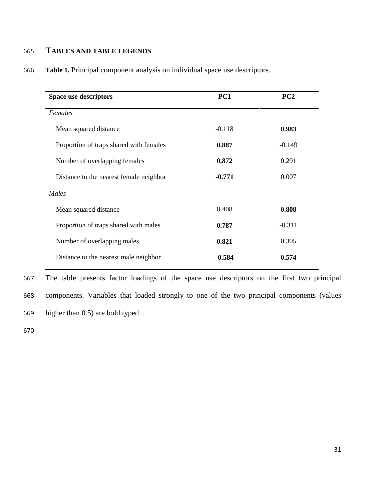#### 665 **TABLES AND TABLE LEGENDS**

| $-0.118$ | 0.983    |
|----------|----------|
| 0.887    | $-0.149$ |
| 0.872    | 0.291    |
| $-0.771$ | 0.007    |
|          |          |
| 0.408    | 0.808    |
| 0.787    | $-0.311$ |
| 0.821    | 0.305    |
| $-0.584$ | 0.574    |
|          |          |

666 **Table 1.** Principal component analysis on individual space use descriptors.

667 The table presents factor loadings of the space use descriptors on the first two principal 668 components. Variables that loaded strongly to one of the two principal components (values 669 higher than 0.5) are bold typed.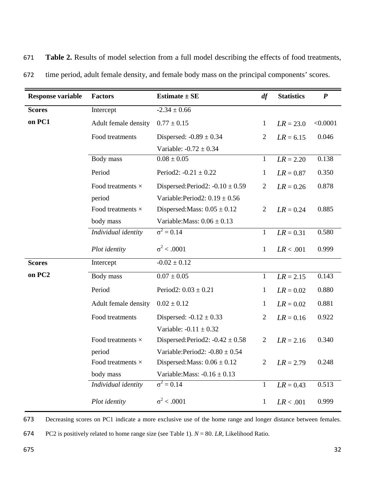| <b>Response variable</b> | <b>Factors</b>           | Estimate $\pm$ SE                   | df             | <b>Statistics</b> | $\boldsymbol{P}$ |
|--------------------------|--------------------------|-------------------------------------|----------------|-------------------|------------------|
| <b>Scores</b>            | Intercept                | $-2.34 \pm 0.66$                    |                |                   |                  |
| on PC1                   | Adult female density     | $0.77 \pm 0.15$                     | $\mathbf{1}$   | $LR = 23.0$       | < 0.0001         |
|                          | Food treatments          | Dispersed: $-0.89 \pm 0.34$         | $\overline{2}$ | $LR = 6.15$       | 0.046            |
|                          |                          | Variable: $-0.72 \pm 0.34$          |                |                   |                  |
|                          | Body mass                | $0.08 \pm 0.05$                     | $\mathbf{1}$   | $LR = 2.20$       | 0.138            |
|                          | Period                   | Period2: $-0.21 \pm 0.22$           | $\mathbf{1}$   | $LR = 0.87$       | 0.350            |
|                          | Food treatments $\times$ | Dispersed:Period2: $-0.10 \pm 0.59$ | $\overline{2}$ | $LR = 0.26$       | 0.878            |
|                          | period                   | Variable: Period2: $0.19 \pm 0.56$  |                |                   |                  |
|                          | Food treatments $\times$ | Dispersed: Mass: $0.05 \pm 0.12$    | $\overline{2}$ | $LR = 0.24$       | 0.885            |
|                          | body mass                | Variable: Mass: $0.06 \pm 0.13$     |                |                   |                  |
|                          | Individual identity      | $\sigma^2 = 0.14$                   | $\mathbf{1}$   | $LR = 0.31$       | 0.580            |
|                          | Plot identity            | $\sigma^2$ < .0001                  | $\mathbf{1}$   | LR < .001         | 0.999            |
| <b>Scores</b>            | Intercept                | $-0.02 \pm 0.12$                    |                |                   |                  |
| on PC <sub>2</sub>       | Body mass                | $0.07 \pm 0.05$                     | $\mathbf{1}$   | $LR = 2.15$       | 0.143            |
|                          | Period                   | Period2: $0.03 \pm 0.21$            | $\mathbf{1}$   | $LR = 0.02$       | 0.880            |
|                          | Adult female density     | $0.02 \pm 0.12$                     | $\mathbf{1}$   | $LR = 0.02$       | 0.881            |
|                          | Food treatments          | Dispersed: $-0.12 \pm 0.33$         | $\overline{2}$ | $LR = 0.16$       | 0.922            |
|                          |                          | Variable: $-0.11 \pm 0.32$          |                |                   |                  |
|                          | Food treatments $\times$ | Dispersed:Period2: $-0.42 \pm 0.58$ | $\overline{2}$ | $LR = 2.16$       | 0.340            |
|                          | period                   | Variable: Period2: $-0.80 \pm 0.54$ |                |                   |                  |
|                          | Food treatments $\times$ | Dispersed: Mass: $0.06 \pm 0.12$    | $\overline{2}$ | $LR = 2.79$       | 0.248            |
|                          | body mass                | Variable: Mass: $-0.16 \pm 0.13$    |                |                   |                  |
|                          | Individual identity      | $\sigma^2 = 0.14$                   | $\mathbf{1}$   | $LR = 0.43$       | 0.513            |
|                          | Plot identity            | $\sigma^2$ < .0001                  | 1              | LR < .001         | 0.999            |

671 **Table 2.** Results of model selection from a full model describing the effects of food treatments,

672 time period, adult female density, and female body mass on the principal components' scores.

673 Decreasing scores on PC1 indicate a more exclusive use of the home range and longer distance between females.

674 PC2 is positively related to home range size (see Table 1). *N* = 80. *LR*, Likelihood Ratio.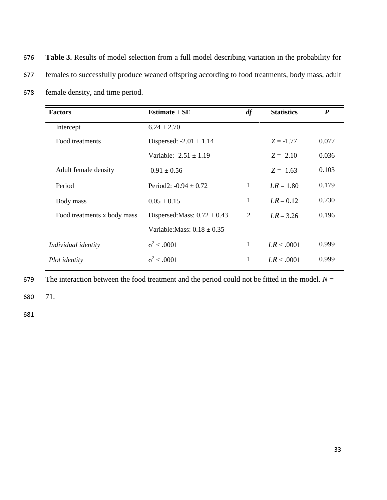676 **Table 3.** Results of model selection from a full model describing variation in the probability for 677 females to successfully produce weaned offspring according to food treatments, body mass, adult 678 female density, and time period.

| <b>Factors</b>              | Estimate $\pm$ SE                | df | <b>Statistics</b> | $\boldsymbol{P}$ |
|-----------------------------|----------------------------------|----|-------------------|------------------|
| Intercept                   | $6.24 \pm 2.70$                  |    |                   |                  |
| Food treatments             | Dispersed: $-2.01 \pm 1.14$      |    | $Z = -1.77$       | 0.077            |
|                             | Variable: $-2.51 + 1.19$         |    | $Z = -2.10$       | 0.036            |
| Adult female density        | $-0.91 \pm 0.56$                 |    | $Z = -1.63$       | 0.103            |
| Period                      | Period2: $-0.94 \pm 0.72$        | 1  | $LR = 1.80$       | 0.179            |
| Body mass                   | $0.05 \pm 0.15$                  | 1  | $LR = 0.12$       | 0.730            |
| Food treatments x body mass | Dispersed: Mass: $0.72 \pm 0.43$ | 2  | $LR = 3.26$       | 0.196            |
|                             | Variable: Mass: $0.18 \pm 0.35$  |    |                   |                  |
| Individual identity         | $\sigma^2$ < .0001               | 1  | LR < .0001        | 0.999            |
| Plot <i>identity</i>        | $\sigma^2$ < .0001               | 1  | LR < .0001        | 0.999            |

679 The interaction between the food treatment and the period could not be fitted in the model.  $N =$ 

680 71.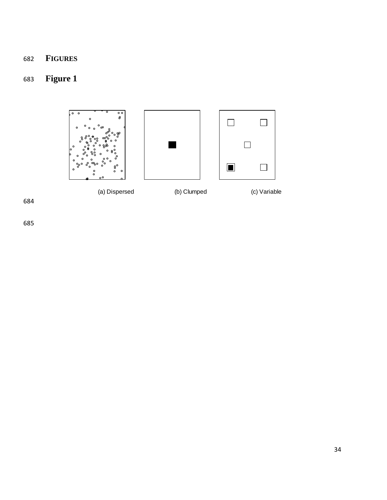### **FIGURES**

### **Figure 1**

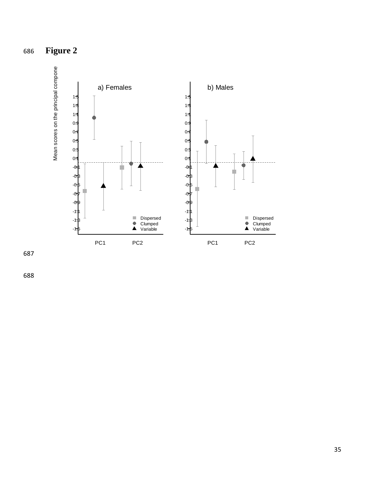

687